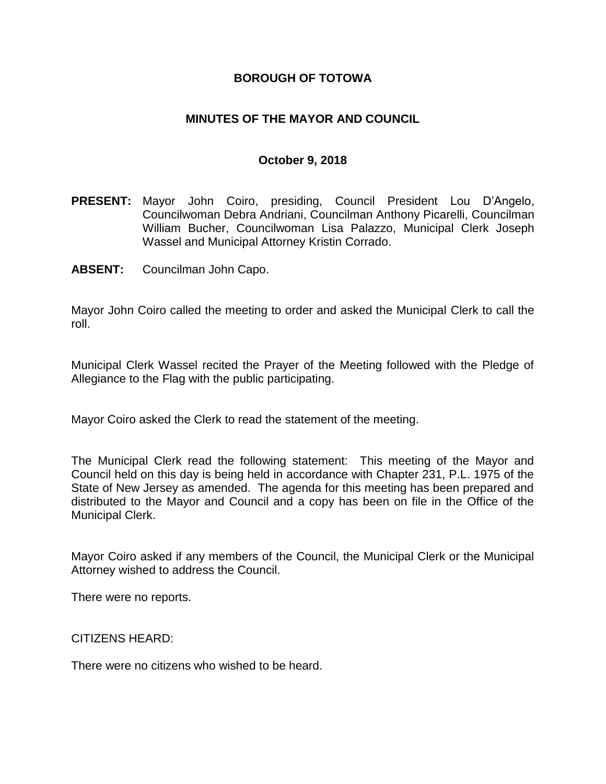## **BOROUGH OF TOTOWA**

## **MINUTES OF THE MAYOR AND COUNCIL**

#### **October 9, 2018**

- **PRESENT:** Mayor John Coiro, presiding, Council President Lou D'Angelo, Councilwoman Debra Andriani, Councilman Anthony Picarelli, Councilman William Bucher, Councilwoman Lisa Palazzo, Municipal Clerk Joseph Wassel and Municipal Attorney Kristin Corrado.
- **ABSENT:** Councilman John Capo.

Mayor John Coiro called the meeting to order and asked the Municipal Clerk to call the roll.

Municipal Clerk Wassel recited the Prayer of the Meeting followed with the Pledge of Allegiance to the Flag with the public participating.

Mayor Coiro asked the Clerk to read the statement of the meeting.

The Municipal Clerk read the following statement: This meeting of the Mayor and Council held on this day is being held in accordance with Chapter 231, P.L. 1975 of the State of New Jersey as amended. The agenda for this meeting has been prepared and distributed to the Mayor and Council and a copy has been on file in the Office of the Municipal Clerk.

Mayor Coiro asked if any members of the Council, the Municipal Clerk or the Municipal Attorney wished to address the Council.

There were no reports.

CITIZENS HEARD:

There were no citizens who wished to be heard.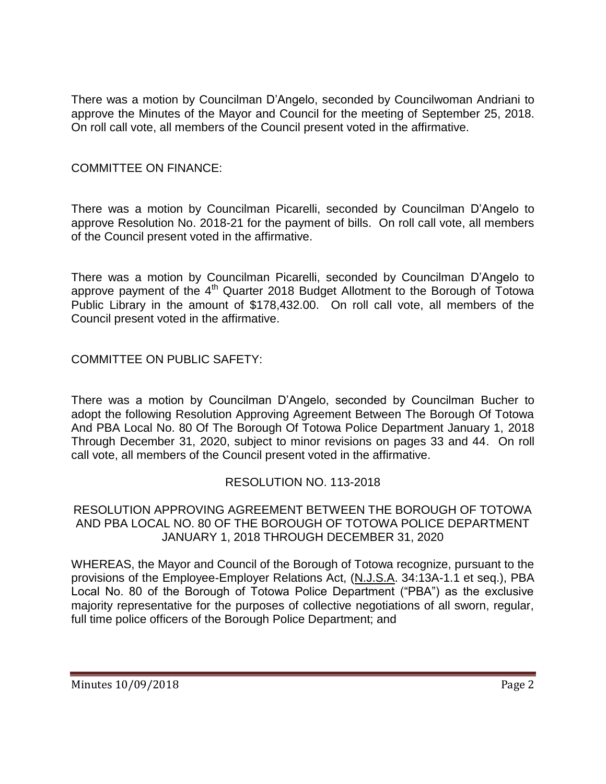There was a motion by Councilman D'Angelo, seconded by Councilwoman Andriani to approve the Minutes of the Mayor and Council for the meeting of September 25, 2018. On roll call vote, all members of the Council present voted in the affirmative.

# COMMITTEE ON FINANCE:

There was a motion by Councilman Picarelli, seconded by Councilman D'Angelo to approve Resolution No. 2018-21 for the payment of bills. On roll call vote, all members of the Council present voted in the affirmative.

There was a motion by Councilman Picarelli, seconded by Councilman D'Angelo to approve payment of the  $4<sup>th</sup>$  Quarter 2018 Budget Allotment to the Borough of Totowa Public Library in the amount of \$178,432.00. On roll call vote, all members of the Council present voted in the affirmative.

COMMITTEE ON PUBLIC SAFETY:

There was a motion by Councilman D'Angelo, seconded by Councilman Bucher to adopt the following Resolution Approving Agreement Between The Borough Of Totowa And PBA Local No. 80 Of The Borough Of Totowa Police Department January 1, 2018 Through December 31, 2020, subject to minor revisions on pages 33 and 44. On roll call vote, all members of the Council present voted in the affirmative.

### RESOLUTION NO. 113-2018

### RESOLUTION APPROVING AGREEMENT BETWEEN THE BOROUGH OF TOTOWA AND PBA LOCAL NO. 80 OF THE BOROUGH OF TOTOWA POLICE DEPARTMENT JANUARY 1, 2018 THROUGH DECEMBER 31, 2020

WHEREAS, the Mayor and Council of the Borough of Totowa recognize, pursuant to the provisions of the Employee-Employer Relations Act, (N.J.S.A. 34:13A-1.1 et seq.), PBA Local No. 80 of the Borough of Totowa Police Department ("PBA") as the exclusive majority representative for the purposes of collective negotiations of all sworn, regular, full time police officers of the Borough Police Department; and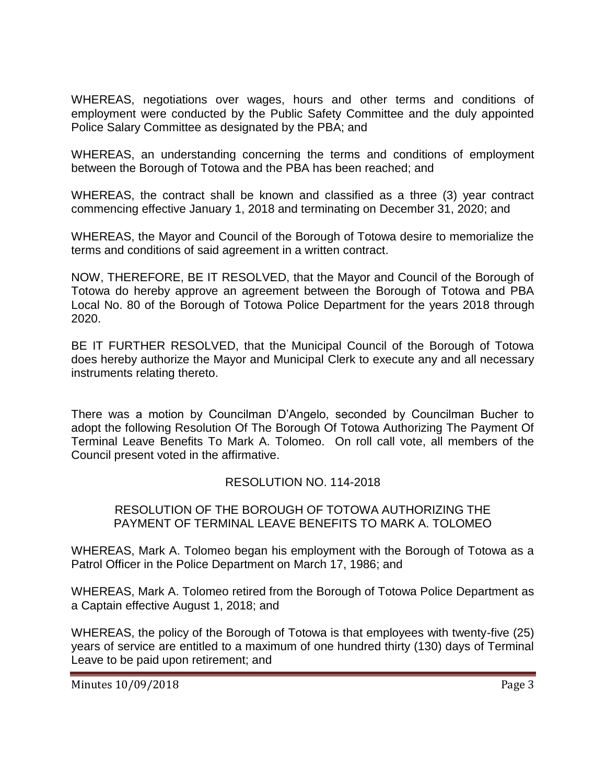WHEREAS, negotiations over wages, hours and other terms and conditions of employment were conducted by the Public Safety Committee and the duly appointed Police Salary Committee as designated by the PBA; and

WHEREAS, an understanding concerning the terms and conditions of employment between the Borough of Totowa and the PBA has been reached; and

WHEREAS, the contract shall be known and classified as a three (3) year contract commencing effective January 1, 2018 and terminating on December 31, 2020; and

WHEREAS, the Mayor and Council of the Borough of Totowa desire to memorialize the terms and conditions of said agreement in a written contract.

NOW, THEREFORE, BE IT RESOLVED, that the Mayor and Council of the Borough of Totowa do hereby approve an agreement between the Borough of Totowa and PBA Local No. 80 of the Borough of Totowa Police Department for the years 2018 through 2020.

BE IT FURTHER RESOLVED, that the Municipal Council of the Borough of Totowa does hereby authorize the Mayor and Municipal Clerk to execute any and all necessary instruments relating thereto.

There was a motion by Councilman D'Angelo, seconded by Councilman Bucher to adopt the following Resolution Of The Borough Of Totowa Authorizing The Payment Of Terminal Leave Benefits To Mark A. Tolomeo. On roll call vote, all members of the Council present voted in the affirmative.

# RESOLUTION NO. 114-2018

### RESOLUTION OF THE BOROUGH OF TOTOWA AUTHORIZING THE PAYMENT OF TERMINAL LEAVE BENEFITS TO MARK A. TOLOMEO

WHEREAS, Mark A. Tolomeo began his employment with the Borough of Totowa as a Patrol Officer in the Police Department on March 17, 1986; and

WHEREAS, Mark A. Tolomeo retired from the Borough of Totowa Police Department as a Captain effective August 1, 2018; and

WHEREAS, the policy of the Borough of Totowa is that employees with twenty-five (25) years of service are entitled to a maximum of one hundred thirty (130) days of Terminal Leave to be paid upon retirement; and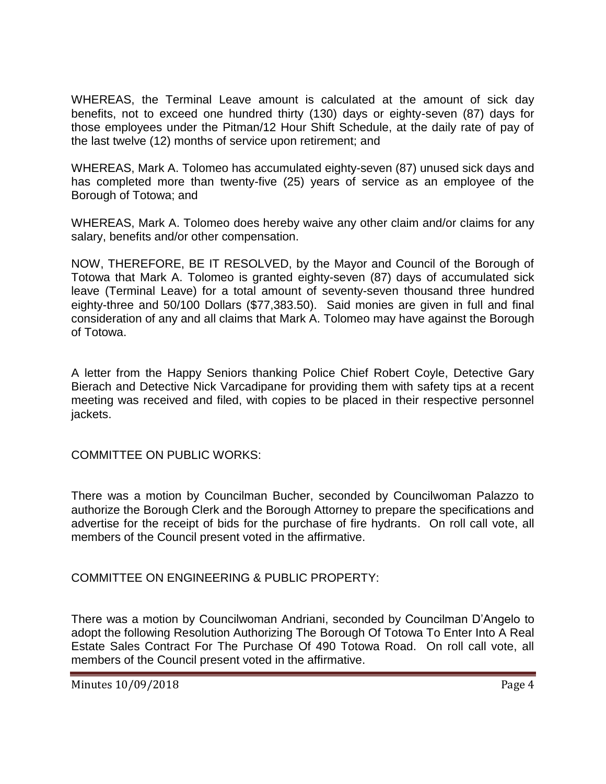WHEREAS, the Terminal Leave amount is calculated at the amount of sick day benefits, not to exceed one hundred thirty (130) days or eighty-seven (87) days for those employees under the Pitman/12 Hour Shift Schedule, at the daily rate of pay of the last twelve (12) months of service upon retirement; and

WHEREAS, Mark A. Tolomeo has accumulated eighty-seven (87) unused sick days and has completed more than twenty-five (25) years of service as an employee of the Borough of Totowa; and

WHEREAS, Mark A. Tolomeo does hereby waive any other claim and/or claims for any salary, benefits and/or other compensation.

NOW, THEREFORE, BE IT RESOLVED, by the Mayor and Council of the Borough of Totowa that Mark A. Tolomeo is granted eighty-seven (87) days of accumulated sick leave (Terminal Leave) for a total amount of seventy-seven thousand three hundred eighty-three and 50/100 Dollars (\$77,383.50). Said monies are given in full and final consideration of any and all claims that Mark A. Tolomeo may have against the Borough of Totowa.

A letter from the Happy Seniors thanking Police Chief Robert Coyle, Detective Gary Bierach and Detective Nick Varcadipane for providing them with safety tips at a recent meeting was received and filed, with copies to be placed in their respective personnel jackets.

COMMITTEE ON PUBLIC WORKS:

There was a motion by Councilman Bucher, seconded by Councilwoman Palazzo to authorize the Borough Clerk and the Borough Attorney to prepare the specifications and advertise for the receipt of bids for the purchase of fire hydrants. On roll call vote, all members of the Council present voted in the affirmative.

COMMITTEE ON ENGINEERING & PUBLIC PROPERTY:

There was a motion by Councilwoman Andriani, seconded by Councilman D'Angelo to adopt the following Resolution Authorizing The Borough Of Totowa To Enter Into A Real Estate Sales Contract For The Purchase Of 490 Totowa Road. On roll call vote, all members of the Council present voted in the affirmative.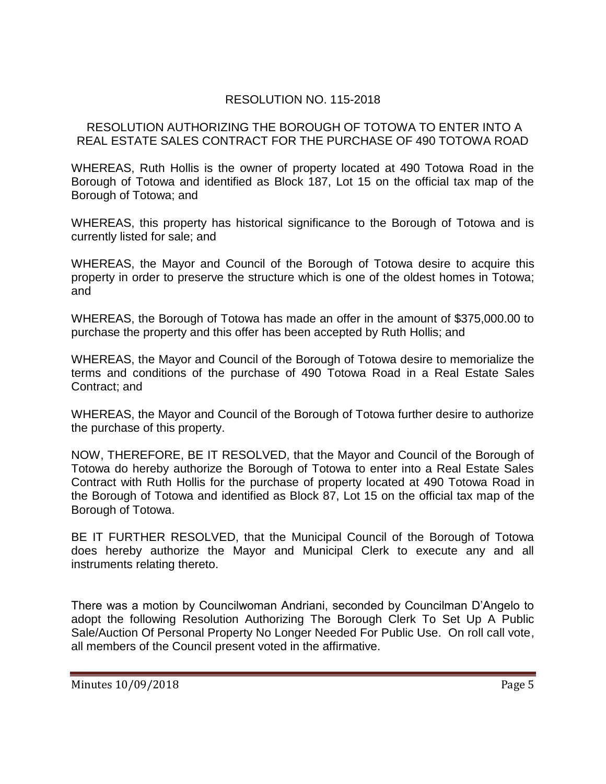# RESOLUTION NO. 115-2018

### RESOLUTION AUTHORIZING THE BOROUGH OF TOTOWA TO ENTER INTO A REAL ESTATE SALES CONTRACT FOR THE PURCHASE OF 490 TOTOWA ROAD

WHEREAS, Ruth Hollis is the owner of property located at 490 Totowa Road in the Borough of Totowa and identified as Block 187, Lot 15 on the official tax map of the Borough of Totowa; and

WHEREAS, this property has historical significance to the Borough of Totowa and is currently listed for sale; and

WHEREAS, the Mayor and Council of the Borough of Totowa desire to acquire this property in order to preserve the structure which is one of the oldest homes in Totowa; and

WHEREAS, the Borough of Totowa has made an offer in the amount of \$375,000.00 to purchase the property and this offer has been accepted by Ruth Hollis; and

WHEREAS, the Mayor and Council of the Borough of Totowa desire to memorialize the terms and conditions of the purchase of 490 Totowa Road in a Real Estate Sales Contract; and

WHEREAS, the Mayor and Council of the Borough of Totowa further desire to authorize the purchase of this property.

NOW, THEREFORE, BE IT RESOLVED, that the Mayor and Council of the Borough of Totowa do hereby authorize the Borough of Totowa to enter into a Real Estate Sales Contract with Ruth Hollis for the purchase of property located at 490 Totowa Road in the Borough of Totowa and identified as Block 87, Lot 15 on the official tax map of the Borough of Totowa.

BE IT FURTHER RESOLVED, that the Municipal Council of the Borough of Totowa does hereby authorize the Mayor and Municipal Clerk to execute any and all instruments relating thereto.

There was a motion by Councilwoman Andriani, seconded by Councilman D'Angelo to adopt the following Resolution Authorizing The Borough Clerk To Set Up A Public Sale/Auction Of Personal Property No Longer Needed For Public Use. On roll call vote, all members of the Council present voted in the affirmative.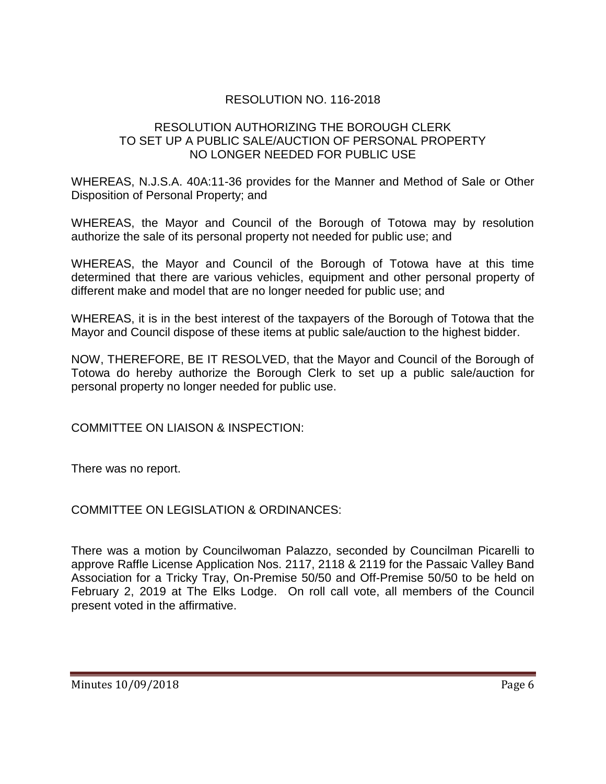# RESOLUTION NO. 116-2018

## RESOLUTION AUTHORIZING THE BOROUGH CLERK TO SET UP A PUBLIC SALE/AUCTION OF PERSONAL PROPERTY NO LONGER NEEDED FOR PUBLIC USE

WHEREAS, N.J.S.A. 40A:11-36 provides for the Manner and Method of Sale or Other Disposition of Personal Property; and

WHEREAS, the Mayor and Council of the Borough of Totowa may by resolution authorize the sale of its personal property not needed for public use; and

WHEREAS, the Mayor and Council of the Borough of Totowa have at this time determined that there are various vehicles, equipment and other personal property of different make and model that are no longer needed for public use; and

WHEREAS, it is in the best interest of the taxpayers of the Borough of Totowa that the Mayor and Council dispose of these items at public sale/auction to the highest bidder.

NOW, THEREFORE, BE IT RESOLVED, that the Mayor and Council of the Borough of Totowa do hereby authorize the Borough Clerk to set up a public sale/auction for personal property no longer needed for public use.

COMMITTEE ON LIAISON & INSPECTION:

There was no report.

COMMITTEE ON LEGISLATION & ORDINANCES:

There was a motion by Councilwoman Palazzo, seconded by Councilman Picarelli to approve Raffle License Application Nos. 2117, 2118 & 2119 for the Passaic Valley Band Association for a Tricky Tray, On-Premise 50/50 and Off-Premise 50/50 to be held on February 2, 2019 at The Elks Lodge. On roll call vote, all members of the Council present voted in the affirmative.